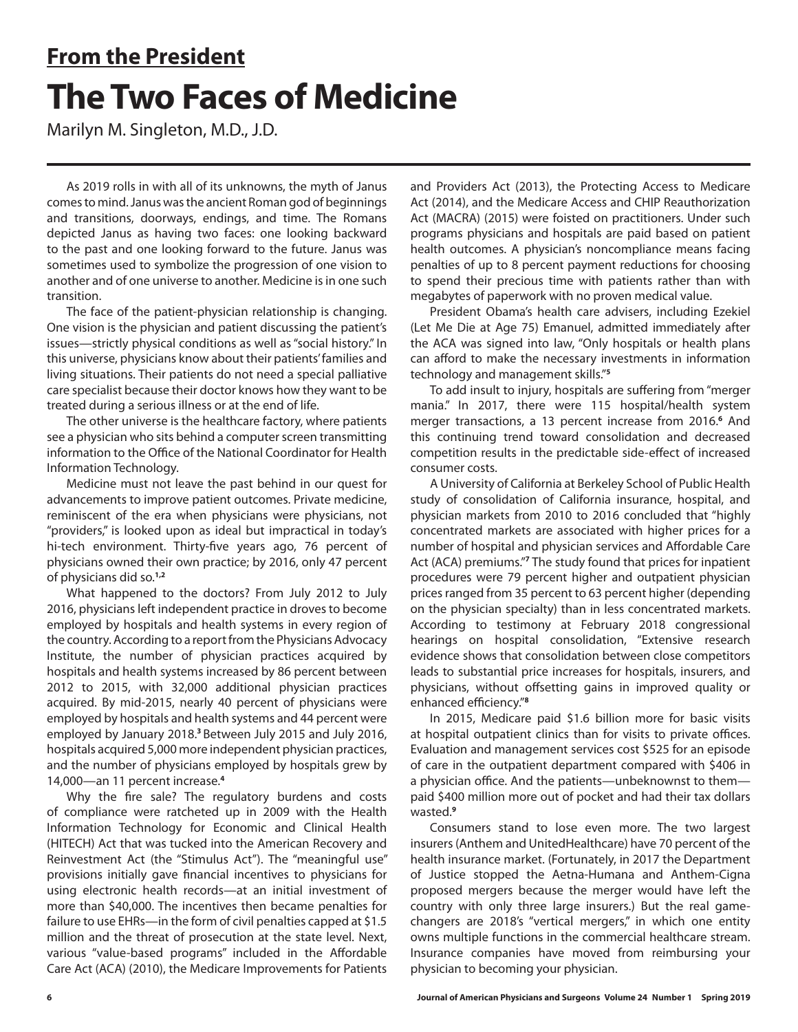## **From the President The Two Faces of Medicine**

Marilyn M. Singleton, M.D., J.D.

As 2019 rolls in with all of its unknowns, the myth of Janus comes to mind. Janus was the ancient Roman god of beginnings and transitions, doorways, endings, and time. The Romans depicted Janus as having two faces: one looking backward to the past and one looking forward to the future. Janus was sometimes used to symbolize the progression of one vision to another and of one universe to another. Medicine is in one such transition.

The face of the patient-physician relationship is changing. One vision is the physician and patient discussing the patient's issues—strictly physical conditions as well as "social history." In this universe, physicians know about their patients' families and living situations. Their patients do not need a special palliative care specialist because their doctor knows how they want to be treated during a serious illness or at the end of life.

The other universe is the healthcare factory, where patients see a physician who sits behind a computer screen transmitting information to the Office of the National Coordinator for Health Information Technology.

Medicine must not leave the past behind in our quest for advancements to improve patient outcomes. Private medicine, reminiscent of the era when physicians were physicians, not "providers," is looked upon as ideal but impractical in today's hi-tech environment. Thirty-five years ago, 76 percent of physicians owned their own practice; by 2016, only 47 percent of physicians did so.**1,2**

What happened to the doctors? From July 2012 to July 2016, physicians left independent practice in droves to become employed by hospitals and health systems in every region of the country. According to a report from the Physicians Advocacy Institute, the number of physician practices acquired by hospitals and health systems increased by 86 percent between 2012 to 2015, with 32,000 additional physician practices acquired. By mid-2015, nearly 40 percent of physicians were employed by hospitals and health systems and 44 percent were employed by January 2018.**<sup>3</sup>**Between July 2015 and July 2016, hospitals acquired 5,000 more independent physician practices, and the number of physicians employed by hospitals grew by 14,000—an 11 percent increase.**<sup>4</sup>**

Why the fire sale? The regulatory burdens and costs of compliance were ratcheted up in 2009 with the Health Information Technology for Economic and Clinical Health (HITECH) Act that was tucked into the American Recovery and Reinvestment Act (the "Stimulus Act"). The "meaningful use" provisions initially gave financial incentives to physicians for using electronic health records—at an initial investment of more than \$40,000. The incentives then became penalties for failure to use EHRs—in the form of civil penalties capped at \$1.5 million and the threat of prosecution at the state level. Next, various "value-based programs" included in the Affordable Care Act (ACA) (2010), the Medicare Improvements for Patients

and Providers Act (2013), the Protecting Access to Medicare Act (2014), and the Medicare Access and CHIP Reauthorization Act (MACRA) (2015) were foisted on practitioners. Under such programs physicians and hospitals are paid based on patient health outcomes. A physician's noncompliance means facing penalties of up to 8 percent payment reductions for choosing to spend their precious time with patients rather than with megabytes of paperwork with no proven medical value.

President Obama's health care advisers, including Ezekiel (Let Me Die at Age 75) Emanuel, admitted immediately after the ACA was signed into law, "Only hospitals or health plans can afford to make the necessary investments in information technology and management skills."**<sup>5</sup>**

To add insult to injury, hospitals are suffering from "merger mania." In 2017, there were 115 hospital/health system merger transactions, a 13 percent increase from 2016.**<sup>6</sup>** And this continuing trend toward consolidation and decreased competition results in the predictable side-effect of increased consumer costs.

A University of California at Berkeley School of Public Health study of consolidation of California insurance, hospital, and physician markets from 2010 to 2016 concluded that "highly concentrated markets are associated with higher prices for a number of hospital and physician services and Affordable Care Act (ACA) premiums."**<sup>7</sup>** The study found that prices for inpatient procedures were 79 percent higher and outpatient physician prices ranged from 35 percent to 63 percent higher (depending on the physician specialty) than in less concentrated markets. According to testimony at February 2018 congressional hearings on hospital consolidation, "Extensive research evidence shows that consolidation between close competitors leads to substantial price increases for hospitals, insurers, and physicians, without offsetting gains in improved quality or enhanced efficiency."**<sup>8</sup>**

In 2015, Medicare paid \$1.6 billion more for basic visits at hospital outpatient clinics than for visits to private offices. Evaluation and management services cost \$525 for an episode of care in the outpatient department compared with \$406 in a physician office. And the patients—unbeknownst to them paid \$400 million more out of pocket and had their tax dollars wasted.**<sup>9</sup>**

Consumers stand to lose even more. The two largest insurers (Anthem and UnitedHealthcare) have 70 percent of the health insurance market. (Fortunately, in 2017 the Department of Justice stopped the Aetna-Humana and Anthem-Cigna proposed mergers because the merger would have left the country with only three large insurers.) But the real gamechangers are 2018's "vertical mergers," in which one entity owns multiple functions in the commercial healthcare stream. Insurance companies have moved from reimbursing your physician to becoming your physician.